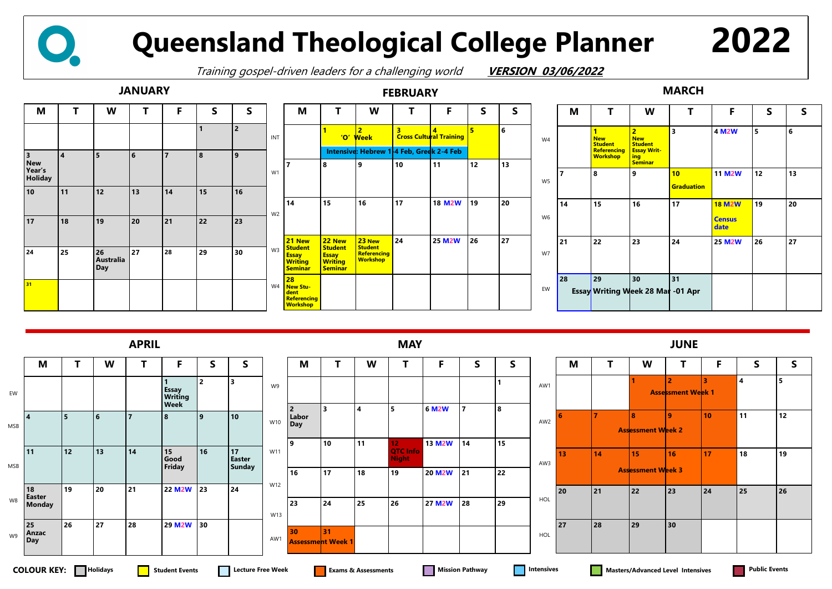| M              | Τ                                                                                         | W                                                                                             | T                       | F                                      | $\mathsf{S}$ | S  |
|----------------|-------------------------------------------------------------------------------------------|-----------------------------------------------------------------------------------------------|-------------------------|----------------------------------------|--------------|----|
|                | $\overline{\mathbf{1}}$<br><b>New</b><br><b>Student</b><br>Referencing<br><b>Workshop</b> | $\overline{2}$<br><b>New</b><br><b>Student</b><br><b>Essay Writ-</b><br>ing<br><b>Seminar</b> | $\overline{\mathbf{3}}$ | 4 M2W                                  | 5            | 6  |
| $\overline{7}$ | 8                                                                                         | 9                                                                                             | 10<br><b>Graduation</b> | <b>11 M2W</b>                          | 12           | 13 |
| 14             | 15                                                                                        | 16                                                                                            | 17                      | <b>18 M2W</b><br><b>Census</b><br>date | 19           | 20 |
| 21             | 22                                                                                        | 23                                                                                            | 24                      | <b>25 M2W</b>                          | 26           | 27 |
| 28             | 29                                                                                        | 30<br>Essay Writing Week 28 Mar -01 Apr                                                       | 31                      |                                        |              |    |

## **JANUARY FEBRUARY MARCH**







## **Queensland Theological College Planner**

Training gospel-driven leaders for a challenging world **VERSION 03/06/2022**

| M              | Τ              | W                              | Τ                                          | F  | S                       | S  |
|----------------|----------------|--------------------------------|--------------------------------------------|----|-------------------------|----|
|                |                | 7                              | $\overline{2}$<br><b>Assessment Week 1</b> | 3  | $\overline{\mathbf{4}}$ | 5  |
| $6\phantom{1}$ | $\overline{7}$ | 8<br><b>Assessment Week 2</b>  | $\boldsymbol{9}$                           | 10 | 11                      | 12 |
| 13             | 14             | 15<br><b>Assessment Week 3</b> | 16                                         | 17 | 18                      | 19 |
| 20             | 21             | 22                             | 23                                         | 24 | 25                      | 26 |
| 27             | 28             | 29                             | 30                                         |    |                         |    |



**2022**